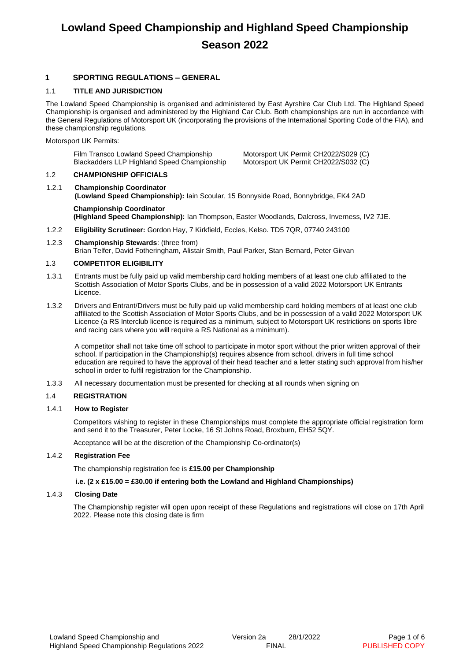# **Lowland Speed Championship and Highland Speed Championship Season 2022**

## **1 SPORTING REGULATIONS – GENERAL**

## 1.1 **TITLE AND JURISDICTION**

The Lowland Speed Championship is organised and administered by East Ayrshire Car Club Ltd. The Highland Speed Championship is organised and administered by the Highland Car Club. Both championships are run in accordance with the General Regulations of Motorsport UK (incorporating the provisions of the International Sporting Code of the FIA), and these championship regulations.

Motorsport UK Permits:

| Film Transco Lowland Speed Championship     |
|---------------------------------------------|
| Blackadders LLP Highland Speed Championship |

Motorsport UK Permit CH2022/S029 (C) Motorsport UK Permit CH2022/S032 (C)

### 1.2 **CHAMPIONSHIP OFFICIALS**

1.2.1 **Championship Coordinator (Lowland Speed Championship):** Iain Scoular, 15 Bonnyside Road, Bonnybridge, FK4 2AD

**Championship Coordinator (Highland Speed Championship):** Ian Thompson, Easter Woodlands, Dalcross, Inverness, IV2 7JE.

- 1.2.2 **Eligibility Scrutineer:** Gordon Hay, 7 Kirkfield, Eccles, Kelso. TD5 7QR, 07740 243100
- 1.2.3 **Championship Stewards**: (three from)

Brian Telfer, David Fotheringham, Alistair Smith, Paul Parker, Stan Bernard, Peter Girvan

## 1.3 **COMPETITOR ELIGIBILITY**

- 1.3.1 Entrants must be fully paid up valid membership card holding members of at least one club affiliated to the Scottish Association of Motor Sports Clubs, and be in possession of a valid 2022 Motorsport UK Entrants Licence.
- 1.3.2 Drivers and Entrant/Drivers must be fully paid up valid membership card holding members of at least one club affiliated to the Scottish Association of Motor Sports Clubs, and be in possession of a valid 2022 Motorsport UK Licence (a RS Interclub licence is required as a minimum, subject to Motorsport UK restrictions on sports libre and racing cars where you will require a RS National as a minimum).

A competitor shall not take time off school to participate in motor sport without the prior written approval of their school. If participation in the Championship(s) requires absence from school, drivers in full time school education are required to have the approval of their head teacher and a letter stating such approval from his/her school in order to fulfil registration for the Championship.

1.3.3 All necessary documentation must be presented for checking at all rounds when signing on

## 1.4 **REGISTRATION**

### 1.4.1 **How to Register**

Competitors wishing to register in these Championships must complete the appropriate official registration form and send it to the Treasurer, Peter Locke, 16 St Johns Road, Broxburn, EH52 5QY.

Acceptance will be at the discretion of the Championship Co-ordinator(s)

### 1.4.2 **Registration Fee**

The championship registration fee is **£15.00 per Championship**

### **i.e. (2 x £15.00 = £30.00 if entering both the Lowland and Highland Championships)**

### 1.4.3 **Closing Date**

The Championship register will open upon receipt of these Regulations and registrations will close on 17th April 2022. Please note this closing date is firm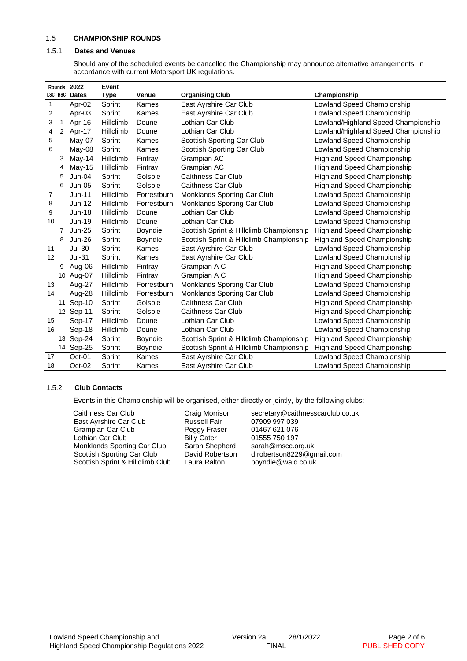#### 1.5 **CHAMPIONSHIP ROUNDS**

#### 1.5.1 **Dates and Venues**

Should any of the scheduled events be cancelled the Championship may announce alternative arrangements, in accordance with current Motorsport UK regulations.

|                | Rounds         | 2022          | Event     |                |                                          |                                     |
|----------------|----------------|---------------|-----------|----------------|------------------------------------------|-------------------------------------|
|                | LSC HSC        | <b>Dates</b>  | Type      | Venue          | <b>Organising Club</b>                   | Championship                        |
| $\mathbf{1}$   |                | Apr-02        | Sprint    | Kames          | East Ayrshire Car Club                   | Lowland Speed Championship          |
| 2              |                | Apr-03        | Sprint    | Kames          | East Ayrshire Car Club                   | Lowland Speed Championship          |
| 3              | 1              | Apr-16        | Hillclimb | Doune          | Lothian Car Club                         | Lowland/Highland Speed Championship |
| 4              | $\overline{2}$ | Apr-17        | Hillclimb | Doune          | Lothian Car Club                         | Lowland/Highland Speed Championship |
| 5              |                | May-07        | Sprint    | Kames          | Scottish Sporting Car Club               | Lowland Speed Championship          |
| 6              |                | May-08        | Sprint    | Kames          | Scottish Sporting Car Club               | Lowland Speed Championship          |
|                | 3              | May-14        | Hillclimb | Fintray        | Grampian AC                              | <b>Highland Speed Championship</b>  |
|                | 4              | May-15        | Hillclimb | Fintray        | Grampian AC                              | <b>Highland Speed Championship</b>  |
|                | 5              | Jun-04        | Sprint    | Golspie        | Caithness Car Club                       | <b>Highland Speed Championship</b>  |
|                | 6              | $Jun-05$      | Sprint    | Golspie        | Caithness Car Club                       | <b>Highland Speed Championship</b>  |
| $\overline{7}$ |                | $Jun-11$      | Hillclimb | Forrestburn    | Monklands Sporting Car Club              | <b>Lowland Speed Championship</b>   |
| 8              |                | Jun-12        | Hillclimb | Forrestburn    | Monklands Sporting Car Club              | Lowland Speed Championship          |
| $\mathsf g$    |                | <b>Jun-18</b> | Hillclimb | Doune          | Lothian Car Club                         | Lowland Speed Championship          |
| 10             |                | Jun-19        | Hillclimb | Doune          | Lothian Car Club                         | Lowland Speed Championship          |
|                | $\overline{7}$ | <b>Jun-25</b> | Sprint    | Boyndie        | Scottish Sprint & Hillclimb Championship | <b>Highland Speed Championship</b>  |
|                | 8              | <b>Jun-26</b> | Sprint    | Boyndie        | Scottish Sprint & Hillclimb Championship | <b>Highland Speed Championship</b>  |
| 11             |                | <b>Jul-30</b> | Sprint    | Kames          | East Ayrshire Car Club                   | Lowland Speed Championship          |
| 12             |                | <b>Jul-31</b> | Sprint    | Kames          | East Ayrshire Car Club                   | Lowland Speed Championship          |
|                | 9              | Aug-06        | Hillclimb | Fintray        | Grampian A C                             | <b>Highland Speed Championship</b>  |
|                |                | 10 Aug-07     | Hillclimb | Fintray        | Grampian A C                             | <b>Highland Speed Championship</b>  |
| 13             |                | Aug-27        | Hillclimb | Forrestburn    | Monklands Sporting Car Club              | Lowland Speed Championship          |
| 14             |                | Aug-28        | Hillclimb | Forrestburn    | Monklands Sporting Car Club              | Lowland Speed Championship          |
|                | 11             | Sep-10        | Sprint    | Golspie        | Caithness Car Club                       | <b>Highland Speed Championship</b>  |
|                |                | 12 Sep-11     | Sprint    | Golspie        | Caithness Car Club                       | <b>Highland Speed Championship</b>  |
| 15             |                | Sep-17        | Hillclimb | Doune          | Lothian Car Club                         | <b>Lowland Speed Championship</b>   |
| 16             |                | Sep-18        | Hillclimb | Doune          | Lothian Car Club                         | Lowland Speed Championship          |
|                | 13             | Sep-24        | Sprint    | <b>Boyndie</b> | Scottish Sprint & Hillclimb Championship | <b>Highland Speed Championship</b>  |
|                |                | 14 Sep-25     | Sprint    | Boyndie        | Scottish Sprint & Hillclimb Championship | <b>Highland Speed Championship</b>  |
| 17             |                | $Oct-01$      | Sprint    | Kames          | East Ayrshire Car Club                   | Lowland Speed Championship          |
| 18             |                | Oct-02        | Sprint    | Kames          | East Ayrshire Car Club                   | Lowland Speed Championship          |

#### 1.5.2 **Club Contacts**

Events in this Championship will be organised, either directly or jointly, by the following clubs:

Caithness Car Club Craig Morrison secretary@caithnesscarclub.co.uk<br>East Ayrshire Car Club Russell Fair 07909 997 039 East Ayrshire Car Club Russell Fair 07909 997 039 Grampian Car Club Peggy Fraser Car Club<br>
Lothian Car Club Billy Cater Lothian Car Club Billy Cater 01555 750 197<br>Monklands Sporting Car Club Sarah Shepherd sarah@mscc.org.uk Monklands Sporting Car Club Sarah Shepherd<br>Scottish Sporting Car Club David Robertson Scottish Sprint & Hillclimb Club

David Robertson d.robertson8229@gmail.com<br>Laura Ralton boyndie@waid.co.uk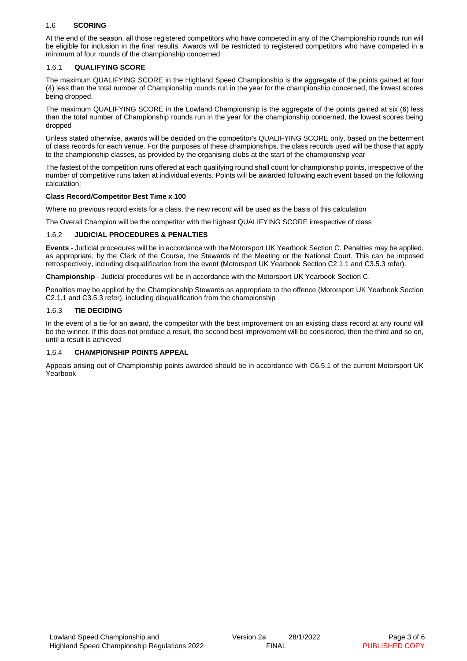### 1.6 **SCORING**

At the end of the season, all those registered competitors who have competed in any of the Championship rounds run will be eligible for inclusion in the final results. Awards will be restricted to registered competitors who have competed in a minimum of four rounds of the championship concerned

#### 1.6.1 **QUALIFYING SCORE**

The maximum QUALIFYING SCORE in the Highland Speed Championship is the aggregate of the points gained at four (4) less than the total number of Championship rounds run in the year for the championship concerned, the lowest scores being dropped.

The maximum QUALIFYING SCORE in the Lowland Championship is the aggregate of the points gained at six (6) less than the total number of Championship rounds run in the year for the championship concerned, the lowest scores being dropped

Unless stated otherwise, awards will be decided on the competitor's QUALIFYING SCORE only, based on the betterment of class records for each venue. For the purposes of these championships, the class records used will be those that apply to the championship classes, as provided by the organising clubs at the start of the championship year

The fastest of the competition runs offered at each qualifying round shall count for championship points, irrespective of the number of competitive runs taken at individual events. Points will be awarded following each event based on the following calculation:

#### **Class Record/Competitor Best Time x 100**

Where no previous record exists for a class, the new record will be used as the basis of this calculation

The Overall Champion will be the competitor with the highest QUALIFYING SCORE irrespective of class

#### 1.6.2 **JUDICIAL PROCEDURES & PENALTIES**

**Events** - Judicial procedures will be in accordance with the Motorsport UK Yearbook Section C. Penalties may be applied, as appropriate, by the Clerk of the Course, the Stewards of the Meeting or the National Court. This can be imposed retrospectively, including disqualification from the event (Motorsport UK Yearbook Section C2.1.1 and C3.5.3 refer).

**Championship** - Judicial procedures will be in accordance with the Motorsport UK Yearbook Section C.

Penalties may be applied by the Championship Stewards as appropriate to the offence (Motorsport UK Yearbook Section C2.1.1 and C3.5.3 refer), including disqualification from the championship

#### 1.6.3 **TIE DECIDING**

In the event of a tie for an award, the competitor with the best improvement on an existing class record at any round will be the winner. If this does not produce a result, the second best improvement will be considered, then the third and so on, until a result is achieved

#### 1.6.4 **CHAMPIONSHIP POINTS APPEAL**

Appeals arising out of Championship points awarded should be in accordance with C6.5.1 of the current Motorsport UK Yearbook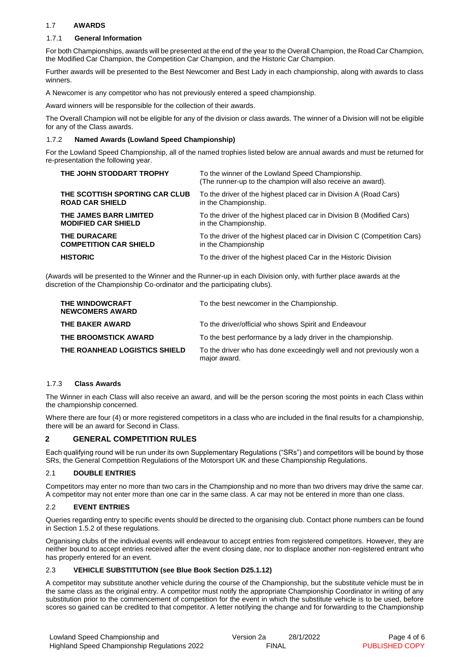## 1.7 **AWARDS**

### 1.7.1 **General Information**

For both Championships, awards will be presented at the end of the year to the Overall Champion, the Road Car Champion, the Modified Car Champion, the Competition Car Champion, and the Historic Car Champion.

Further awards will be presented to the Best Newcomer and Best Lady in each championship, along with awards to class winners.

A Newcomer is any competitor who has not previously entered a speed championship.

Award winners will be responsible for the collection of their awards.

The Overall Champion will not be eligible for any of the division or class awards. The winner of a Division will not be eligible for any of the Class awards.

#### 1.7.2 **Named Awards (Lowland Speed Championship)**

For the Lowland Speed Championship, all of the named trophies listed below are annual awards and must be returned for re-presentation the following year.

| THE JOHN STODDART TROPHY       | To the winner of the Lowland Speed Championship.<br>(The runner-up to the champion will also receive an award). |
|--------------------------------|-----------------------------------------------------------------------------------------------------------------|
| THE SCOTTISH SPORTING CAR CLUB | To the driver of the highest placed car in Division A (Road Cars)                                               |
| <b>ROAD CAR SHIELD</b>         | in the Championship.                                                                                            |
| THE JAMES BARR LIMITED         | To the driver of the highest placed car in Division B (Modified Cars)                                           |
| <b>MODIFIED CAR SHIELD</b>     | in the Championship.                                                                                            |
| <b>THE DURACARE</b>            | To the driver of the highest placed car in Division C (Competition Cars)                                        |
| <b>COMPETITION CAR SHIELD</b>  | in the Championship                                                                                             |
| <b>HISTORIC</b>                | To the driver of the highest placed Car in the Historic Division                                                |

(Awards will be presented to the Winner and the Runner-up in each Division only, with further place awards at the discretion of the Championship Co-ordinator and the participating clubs).

| THE WINDOWCRAFT<br><b>NEWCOMERS AWARD</b> | To the best newcomer in the Championship.                                            |
|-------------------------------------------|--------------------------------------------------------------------------------------|
| THE BAKER AWARD                           | To the driver/official who shows Spirit and Endeavour                                |
| THE BROOMSTICK AWARD                      | To the best performance by a lady driver in the championship.                        |
| THE ROANHEAD LOGISTICS SHIELD             | To the driver who has done exceedingly well and not previously won a<br>major award. |

## 1.7.3 **Class Awards**

The Winner in each Class will also receive an award, and will be the person scoring the most points in each Class within the championship concerned.

Where there are four (4) or more registered competitors in a class who are included in the final results for a championship, there will be an award for Second in Class.

### **2 GENERAL COMPETITION RULES**

Each qualifying round will be run under its own Supplementary Regulations ("SRs") and competitors will be bound by those SRs, the General Competition Regulations of the Motorsport UK and these Championship Regulations.

### 2.1 **DOUBLE ENTRIES**

Competitors may enter no more than two cars in the Championship and no more than two drivers may drive the same car. A competitor may not enter more than one car in the same class. A car may not be entered in more than one class.

### 2.2 **EVENT ENTRIES**

Queries regarding entry to specific events should be directed to the organising club. Contact phone numbers can be found in Section 1.5.2 of these regulations.

Organising clubs of the individual events will endeavour to accept entries from registered competitors. However, they are neither bound to accept entries received after the event closing date, nor to displace another non-registered entrant who has properly entered for an event.

### 2.3 **VEHICLE SUBSTITUTION (see Blue Book Section D25.1.12)**

A competitor may substitute another vehicle during the course of the Championship, but the substitute vehicle must be in the same class as the original entry. A competitor must notify the appropriate Championship Coordinator in writing of any substitution prior to the commencement of competition for the event in which the substitute vehicle is to be used, before scores so gained can be credited to that competitor. A letter notifying the change and for forwarding to the Championship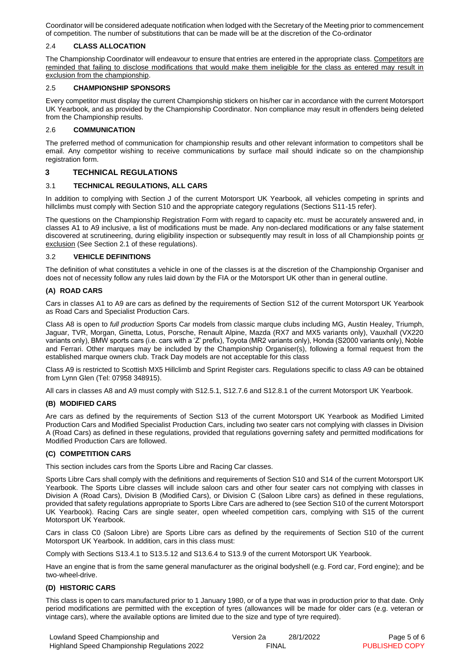Coordinator will be considered adequate notification when lodged with the Secretary of the Meeting prior to commencement of competition. The number of substitutions that can be made will be at the discretion of the Co-ordinator

#### 2.4 **CLASS ALLOCATION**

The Championship Coordinator will endeavour to ensure that entries are entered in the appropriate class. Competitors are reminded that failing to disclose modifications that would make them ineligible for the class as entered may result in exclusion from the championship.

#### 2.5 **CHAMPIONSHIP SPONSORS**

Every competitor must display the current Championship stickers on his/her car in accordance with the current Motorsport UK Yearbook, and as provided by the Championship Coordinator. Non compliance may result in offenders being deleted from the Championship results.

#### 2.6 **COMMUNICATION**

The preferred method of communication for championship results and other relevant information to competitors shall be email. Any competitor wishing to receive communications by surface mail should indicate so on the championship registration form.

## **3 TECHNICAL REGULATIONS**

### 3.1 **TECHNICAL REGULATIONS, ALL CARS**

In addition to complying with Section J of the current Motorsport UK Yearbook, all vehicles competing in sprints and hillclimbs must comply with Section S10 and the appropriate category regulations (Sections S11-15 refer).

The questions on the Championship Registration Form with regard to capacity etc. must be accurately answered and, in classes A1 to A9 inclusive, a list of modifications must be made. Any non-declared modifications or any false statement discovered at scrutineering, during eligibility inspection or subsequently may result in loss of all Championship points or exclusion (See Section 2.1 of these regulations).

#### 3.2 **VEHICLE DEFINITIONS**

The definition of what constitutes a vehicle in one of the classes is at the discretion of the Championship Organiser and does not of necessity follow any rules laid down by the FIA or the Motorsport UK other than in general outline.

#### **(A) ROAD CARS**

Cars in classes A1 to A9 are cars as defined by the requirements of Section S12 of the current Motorsport UK Yearbook as Road Cars and Specialist Production Cars.

Class A8 is open to *full production* Sports Car models from classic marque clubs including MG, Austin Healey, Triumph, Jaguar, TVR, Morgan, Ginetta, Lotus, Porsche, Renault Alpine, Mazda (RX7 and MX5 variants only), Vauxhall (VX220 variants only), BMW sports cars (i.e. cars with a 'Z' prefix), Toyota (MR2 variants only), Honda (S2000 variants only), Noble and Ferrari. Other marques may be included by the Championship Organiser(s), following a formal request from the established marque owners club. Track Day models are not acceptable for this class

Class A9 is restricted to Scottish MX5 Hillclimb and Sprint Register cars. Regulations specific to class A9 can be obtained from Lynn Glen (Tel: 07958 348915).

All cars in classes A8 and A9 must comply with S12.5.1, S12.7.6 and S12.8.1 of the current Motorsport UK Yearbook.

### **(B) MODIFIED CARS**

Are cars as defined by the requirements of Section S13 of the current Motorsport UK Yearbook as Modified Limited Production Cars and Modified Specialist Production Cars, including two seater cars not complying with classes in Division A (Road Cars) as defined in these regulations, provided that regulations governing safety and permitted modifications for Modified Production Cars are followed.

### **(C) COMPETITION CARS**

This section includes cars from the Sports Libre and Racing Car classes.

Sports Libre Cars shall comply with the definitions and requirements of Section S10 and S14 of the current Motorsport UK Yearbook. The Sports Libre classes will include saloon cars and other four seater cars not complying with classes in Division A (Road Cars), Division B (Modified Cars), or Division C (Saloon Libre cars) as defined in these regulations, provided that safety regulations appropriate to Sports Libre Cars are adhered to (see Section S10 of the current Motorsport UK Yearbook). Racing Cars are single seater, open wheeled competition cars, complying with S15 of the current Motorsport UK Yearbook.

Cars in class C0 (Saloon Libre) are Sports Libre cars as defined by the requirements of Section S10 of the current Motorsport UK Yearbook. In addition, cars in this class must:

Comply with Sections S13.4.1 to S13.5.12 and S13.6.4 to S13.9 of the current Motorsport UK Yearbook.

Have an engine that is from the same general manufacturer as the original bodyshell (e.g. Ford car, Ford engine); and be two-wheel-drive.

#### **(D) HISTORIC CARS**

This class is open to cars manufactured prior to 1 January 1980, or of a type that was in production prior to that date. Only period modifications are permitted with the exception of tyres (allowances will be made for older cars (e.g. veteran or vintage cars), where the available options are limited due to the size and type of tyre required).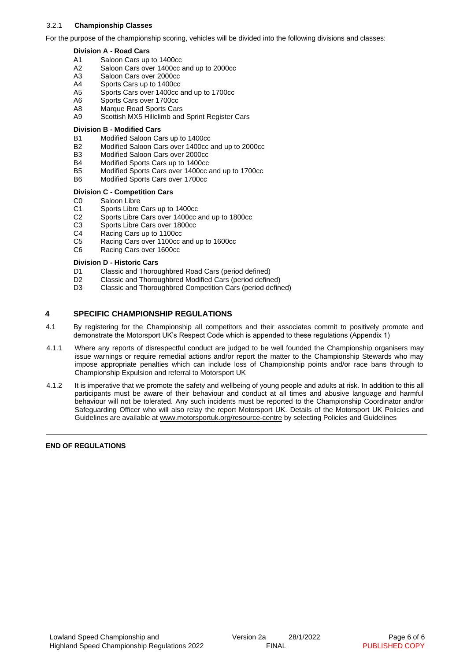#### 3.2.1 **Championship Classes**

For the purpose of the championship scoring, vehicles will be divided into the following divisions and classes:

#### **Division A - Road Cars**

- A1 Saloon Cars up to 1400cc
- A2 Saloon Cars over 1400cc and up to 2000cc
- A3 Saloon Cars over 2000cc<br>A4 Sports Cars up to 1400cc
- Sports Cars up to 1400cc
- A5 Sports Cars over 1400cc and up to 1700cc
- A6 Sports Cars over 1700cc<br>A8 Marque Road Sports Car
- Marque Road Sports Cars
- A9 Scottish MX5 Hillclimb and Sprint Register Cars

#### **Division B - Modified Cars**

- B1 Modified Saloon Cars up to 1400cc<br>B2 Modified Saloon Cars over 1400cc
- Modified Saloon Cars over 1400cc and up to 2000cc
- B3 Modified Saloon Cars over 2000cc
- B4 Modified Sports Cars up to 1400cc
- B5 Modified Sports Cars over 1400cc and up to 1700cc
- B6 Modified Sports Cars over 1700cc
- **Division C - Competition Cars**
- C0 Saloon Libre
- C1 Sports Libre Cars up to 1400cc
- C2 Sports Libre Cars over 1400cc and up to 1800cc
- C3 Sports Libre Cars over 1800cc
- C4 Racing Cars up to 1100cc
- C5 Racing Cars over 1100cc and up to 1600cc
- C6 Racing Cars over 1600cc

#### **Division D - Historic Cars**

- D1 Classic and Thoroughbred Road Cars (period defined)<br>D2 Classic and Thoroughbred Modified Cars (period define
- D2 Classic and Thoroughbred Modified Cars (period defined)<br>D3 Classic and Thoroughbred Competition Cars (period defined)
- Classic and Thoroughbred Competition Cars (period defined)

## **4 SPECIFIC CHAMPIONSHIP REGULATIONS**

- 4.1 By registering for the Championship all competitors and their associates commit to positively promote and demonstrate the Motorsport UK's Respect Code which is appended to these regulations (Appendix 1)
- 4.1.1 Where any reports of disrespectful conduct are judged to be well founded the Championship organisers may issue warnings or require remedial actions and/or report the matter to the Championship Stewards who may impose appropriate penalties which can include loss of Championship points and/or race bans through to Championship Expulsion and referral to Motorsport UK
- 4.1.2 It is imperative that we promote the safety and wellbeing of young people and adults at risk. In addition to this all participants must be aware of their behaviour and conduct at all times and abusive language and harmful behaviour will not be tolerated. Any such incidents must be reported to the Championship Coordinator and/or Safeguarding Officer who will also relay the report Motorsport UK. Details of the Motorsport UK Policies and Guidelines are available a[t www.motorsportuk.org/resource-centre](http://www.motorsportuk.org/resource-centre) by selecting Policies and Guidelines

#### **END OF REGULATIONS**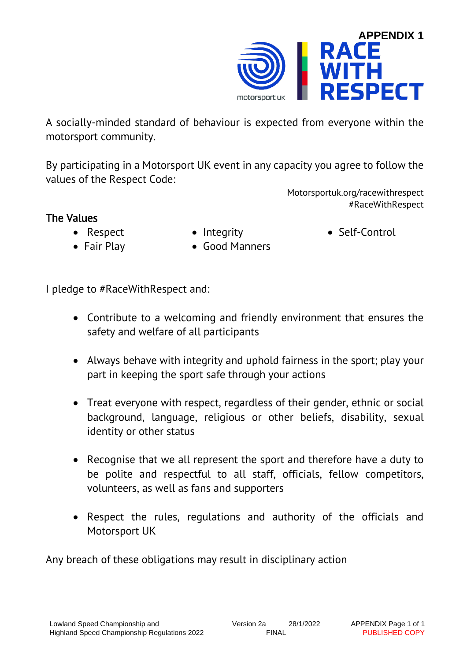

A socially-minded standard of behaviour is expected from everyone within the motorsport community.

By participating in a Motorsport UK event in any capacity you agree to follow the values of the Respect Code:

> Motorsportuk.org/racewithrespect #RaceWithRespect

# The Values

- Respect
- Integrity

• Self-Control

- Fair Play
- Good Manners

I pledge to #RaceWithRespect and:

- Contribute to a welcoming and friendly environment that ensures the safety and welfare of all participants
- Always behave with integrity and uphold fairness in the sport; play your part in keeping the sport safe through your actions
- Treat everyone with respect, regardless of their gender, ethnic or social background, language, religious or other beliefs, disability, sexual identity or other status
- Recognise that we all represent the sport and therefore have a duty to be polite and respectful to all staff, officials, fellow competitors, volunteers, as well as fans and supporters
- Respect the rules, regulations and authority of the officials and Motorsport UK

Any breach of these obligations may result in disciplinary action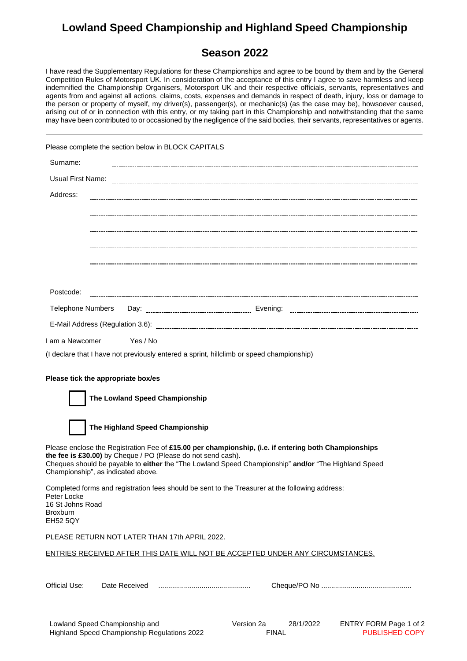# **Lowland Speed Championship and Highland Speed Championship**

## **Season 2022**

I have read the Supplementary Regulations for these Championships and agree to be bound by them and by the General Competition Rules of Motorsport UK. In consideration of the acceptance of this entry I agree to save harmless and keep indemnified the Championship Organisers, Motorsport UK and their respective officials, servants, representatives and agents from and against all actions, claims, costs, expenses and demands in respect of death, injury, loss or damage to the person or property of myself, my driver(s), passenger(s), or mechanic(s) (as the case may be), howsoever caused, arising out of or in connection with this entry, or my taking part in this Championship and notwithstanding that the same may have been contributed to or occasioned by the negligence of the said bodies, their servants, representatives or agents.

|                                                                       |                                    | Please complete the section below in BLOCK CAPITALS                                             |                                                                                                                                                                                                             |
|-----------------------------------------------------------------------|------------------------------------|-------------------------------------------------------------------------------------------------|-------------------------------------------------------------------------------------------------------------------------------------------------------------------------------------------------------------|
| Surname:                                                              |                                    |                                                                                                 |                                                                                                                                                                                                             |
|                                                                       |                                    |                                                                                                 |                                                                                                                                                                                                             |
| Address:                                                              |                                    |                                                                                                 |                                                                                                                                                                                                             |
|                                                                       |                                    |                                                                                                 |                                                                                                                                                                                                             |
|                                                                       |                                    |                                                                                                 |                                                                                                                                                                                                             |
|                                                                       |                                    |                                                                                                 |                                                                                                                                                                                                             |
|                                                                       |                                    |                                                                                                 |                                                                                                                                                                                                             |
|                                                                       |                                    |                                                                                                 |                                                                                                                                                                                                             |
| Postcode:                                                             |                                    |                                                                                                 |                                                                                                                                                                                                             |
| <b>Telephone Numbers</b>                                              |                                    |                                                                                                 |                                                                                                                                                                                                             |
|                                                                       |                                    |                                                                                                 |                                                                                                                                                                                                             |
| I am a Newcomer                                                       | Yes / No                           |                                                                                                 |                                                                                                                                                                                                             |
|                                                                       |                                    | (I declare that I have not previously entered a sprint, hillclimb or speed championship)        |                                                                                                                                                                                                             |
|                                                                       |                                    |                                                                                                 |                                                                                                                                                                                                             |
|                                                                       | Please tick the appropriate box/es |                                                                                                 |                                                                                                                                                                                                             |
|                                                                       | The Lowland Speed Championship     |                                                                                                 |                                                                                                                                                                                                             |
|                                                                       | The Highland Speed Championship    |                                                                                                 |                                                                                                                                                                                                             |
|                                                                       | Championship", as indicated above. | the fee is £30.00) by Cheque / PO (Please do not send cash).                                    | Please enclose the Registration Fee of £15.00 per championship, (i.e. if entering both Championships<br>Cheques should be payable to either the "The Lowland Speed Championship" and/or "The Highland Speed |
| Peter Locke<br>16 St Johns Road<br><b>Broxburn</b><br><b>EH52 5QY</b> |                                    | Completed forms and registration fees should be sent to the Treasurer at the following address: |                                                                                                                                                                                                             |
|                                                                       |                                    | PLEASE RETURN NOT LATER THAN 17th APRIL 2022.                                                   |                                                                                                                                                                                                             |
|                                                                       |                                    |                                                                                                 | ENTRIES RECEIVED AFTER THIS DATE WILL NOT BE ACCEPTED UNDER ANY CIRCUMSTANCES.                                                                                                                              |
| Official Use:                                                         |                                    |                                                                                                 |                                                                                                                                                                                                             |